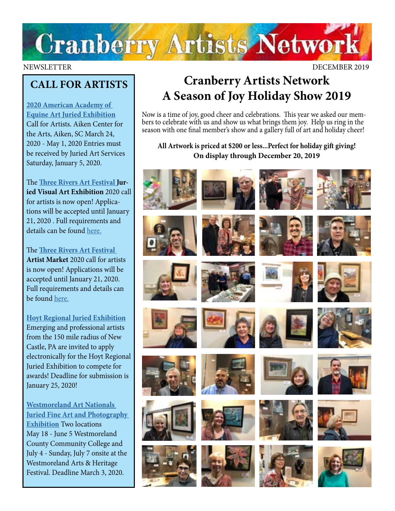

#### NEWSLETTER DECEMBER 2019

## **CALL FOR ARTISTS**

**[2020 American Academy of](https://www.aaea.net/2020/springshow)  [Equine Art Juried Exhibition](https://www.aaea.net/2020/springshow)** Call for Artists. Aiken Center for the Arts, Aiken, SC March 24, 2020 - May 1, 2020 Entries must be received by Juried Art Services Saturday, January 5, 2020.

The **[Three Rivers Art Festival J](https://traf.trustarts.org/traf_home/artists/juried-visual-art-exhibition)uried Visual Art Exhibition** 2020 call for artists is now open! Applications will be accepted until January 21, 2020 . Full requirements and details can be found [here.](https://traf.trustarts.org/traf_home/artists/juried-visual-art-exhibition)

The **[Three Rivers Art Festival](https://traf.trustarts.org/traf_home/artists/artist-market-info) Artist Market** 2020 call for artists is now open! Applications will be accepted until January 21, 2020. Full requirements and details can be found [here.](https://traf.trustarts.org/traf_home/artists/artist-market-info)

### **[Hoyt Regional Juried Exhibition](https://www.hoytartcenter.org/contribute-products/hoyt-regional-juried-exhibition)**

Emerging and professional artists from the 150 mile radius of New Castle, PA are invited to apply electronically for the Hoyt Regional Juried Exhibition to compete for awards! Deadline for submission is January 25, 2020!

**[Westmoreland Art Nationals](https://artsandheritage.com/the-arts/art-nationals/)  [Juried Fine Art and Photography](https://artsandheritage.com/the-arts/art-nationals/)  [Exhibition](https://artsandheritage.com/the-arts/art-nationals/)** Two locations May 18 - June 5 Westmoreland County Community College and July 4 - Sunday, July 7 onsite at the Westmoreland Arts & Heritage Festival. Deadline March 3, 2020.

## **Cranberry Artists Network A Season of Joy Holiday Show 2019**

Now is a time of joy, good cheer and celebrations. This year we asked our members to celebrate with us and show us what brings them joy. Help us ring in the season with one final member's show and a gallery full of art and holiday cheer!

## **All Artwork is priced at \$200 or less...Perfect for holiday gift giving! On display through December 20, 2019**

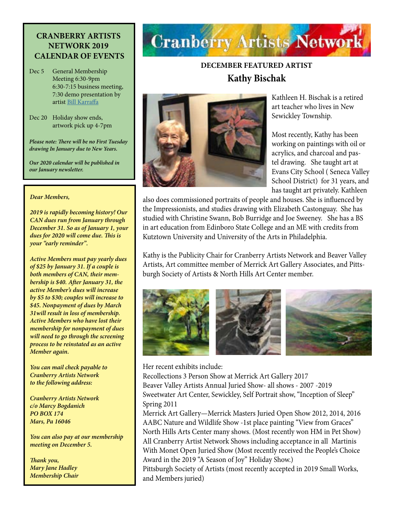### **CRANBERRY ARTISTS NETWORK 2019 CALENDAR OF EVENTS**

Dec 5 General Membership Meeting 6:30-9pm 6:30-7:15 business meeting, 7:30 demo presentation by artist [Bill Karraffa](https://www.facebook.com/profile.php?id=100011382820903)

Dec 20 Holiday show ends, artwork pick up 4-7pm

*Please note: There will be no First Tuesday drawing In January due to New Years.*

*Our 2020 calendar will be published in our January newsletter.*

#### *Dear Members,*

*2019 is rapidly becoming history! Our CAN dues run from January through December 31. So as of January 1, your dues for 2020 will come due. This is your "early reminder".*

*Active Members must pay yearly dues of \$25 by January 31. If a couple is both members of CAN, their membership is \$40. After January 31, the active Member's dues will increase by \$5 to \$30; couples will increase to \$45. Nonpayment of dues by March 31will result in loss of membership. Active Members who have lost their membership for nonpayment of dues will need to go through the screening process to be reinstated as an active Member again.*

*You can mail check payable to Cranberry Artists Network to the following address:*

*Cranberry Artists Network c/o Marcy Bogdanich PO BOX 174 Mars, Pa 16046*

*You can also pay at our membership meeting on December 5.*

*Thank you, Mary Jane Hadley Membership Chair*

# **Cranberry Artists Network**

## **DECEMBER FEATURED ARTIST Kathy Bischak**



Kathleen H. Bischak is a retired art teacher who lives in New Sewickley Township.

Most recently, Kathy has been working on paintings with oil or acrylics, and charcoal and pastel drawing. She taught art at Evans City School ( Seneca Valley School District) for 31 years, and has taught art privately. Kathleen

also does commissioned portraits of people and houses. She is influenced by the Impressionists, and studies drawing with Elizabeth Castonguay. She has studied with Christine Swann, Bob Burridge and Joe Sweeney. She has a BS in art education from Edinboro State College and an ME with credits from Kutztown University and University of the Arts in Philadelphia.

Kathy is the Publicity Chair for Cranberry Artists Network and Beaver Valley Artists, Art committee member of Merrick Art Gallery Associates, and Pittsburgh Society of Artists & North Hills Art Center member.



Her recent exhibits include:

Recollections 3 Person Show at Merrick Art Gallery 2017 Beaver Valley Artists Annual Juried Show- all shows - 2007 -2019 Sweetwater Art Center, Sewickley, Self Portrait show, "Inception of Sleep" Spring 2011

Merrick Art Gallery—Merrick Masters Juried Open Show 2012, 2014, 2016 AABC Nature and Wildlife Show -1st place painting "View from Graces" North Hills Arts Center many shows. (Most recently won HM in Pet Show) All Cranberry Artist Network Shows including acceptance in all Martinis With Monet Open Juried Show (Most recently received the People's Choice Award in the 2019 "A Season of Joy" Holiday Show.)

Pittsburgh Society of Artists (most recently accepted in 2019 Small Works, and Members juried)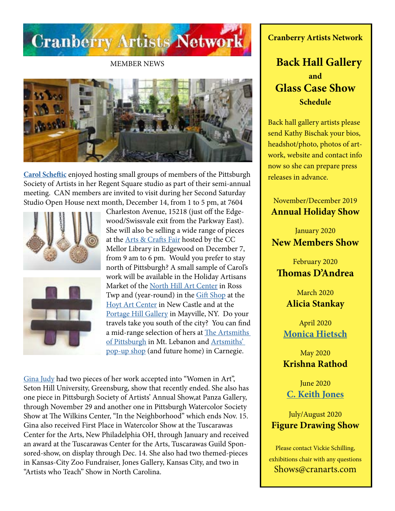

MEMBER NEWS



**[Carol Scheftic](http://convergentseries.com/)** enjoyed hosting small groups of members of the Pittsburgh Society of Artists in her Regent Square studio as part of their semi-annual meeting. CAN members are invited to visit during her Second Saturday Studio Open House next month, December 14, from 1 to 5 pm, at 7604





Charleston Avenue, 15218 (just off the Edgewood/Swissvale exit from the Parkway East). She will also be selling a wide range of pieces at the [Arts & Crafts Fair](https://www.facebook.com/events/2379083915743888/) hosted by the CC Mellor Library in Edgewood on December 7, from 9 am to 6 pm. Would you prefer to stay north of Pittsburgh? A small sample of Carol's work will be available in the Holiday Artisans Market of the [North Hill Art Center](https://northhillsartcenter.org/events
) in Ross Twp and (year-round) in the [Gift Shop](https://www.hoytartcenter.org/gift-shop) at the [Hoyt Art Center](https://www.hoytartcenter.org/holiday) in New Castle and at the [Portage Hill Gallery](https://www.portagehillgallery.com/gallery
) in Mayville, NY. Do your travels take you south of the city? You can find a mid-range selection of hers at [The Artsmiths](https://artsmithspgh.org/shop/
)  [of Pittsburgh](https://artsmithspgh.org/shop/
) in Mt. Lebanon and [Artsmiths'](https://www.nextpittsburgh.com/city-design/the-artsmiths-of-pittsburgh-will-operate-two-locations-for-the-holidays-then-move-permanently-to-carnegie/)  [pop-up shop](https://www.nextpittsburgh.com/city-design/the-artsmiths-of-pittsburgh-will-operate-two-locations-for-the-holidays-then-move-permanently-to-carnegie/) (and future home) in Carnegie.

[Gina Judy](http://www.facebook.com/gina.judy.31) had two pieces of her work accepted into "Women in Art", Seton Hill University, Greensburg, show that recently ended. She also has one piece in Pittsburgh Society of Artists' Annual Show,at Panza Gallery, through November 29 and another one in Pittsburgh Watercolor Society Show at The Wilkins Center, "In the Neighborhood" which ends Nov. 15. Gina also received First Place in Watercolor Show at the Tuscarawas Center for the Arts, New Philadelphia OH, through January and received an award at the Tuscarawas Center for the Arts, Tuscarawas Guild Sponsored-show, on display through Dec. 14. She also had two themed-pieces in Kansas-City Zoo Fundraiser, Jones Gallery, Kansas City, and two in "Artists who Teach" Show in North Carolina.

**Cranberry Artists Network**

## **Back Hall Gallery and Glass Case Show Schedule**

Back hall gallery artists please send Kathy Bischak your bios, headshot/photo, photos of artwork, website and contact info now so she can prepare press releases in advance.

November/December 2019 **Annual Holiday Show**

January 2020 **New Members Show**

February 2020 **Thomas D'Andrea**

> March 2020 **Alicia Stankay**

April 2020 **[Monica Hietsch](https://www.monicahietsch.com/)**

May 2020 **Krishna Rathod**

June 2020 **[C. Keith Jones](http://ckeithjonesartist.com/)**

July/August 2020 **Figure Drawing Show**

Please contact Vickie Schilling, exhibitions chair with any questions Shows@cranarts.com